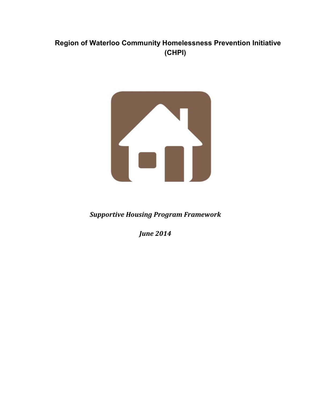# **Region of Waterloo****Community Homelessness Prevention Initiative (CHPI)**



*Supportive Housing Program Framework*

*June 2014*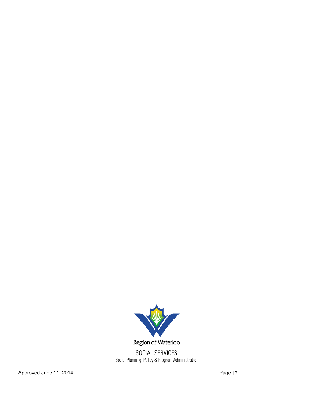

Region of Waterloo

SOCIAL SERVICES<br>Social Planning, Policy & Program Administration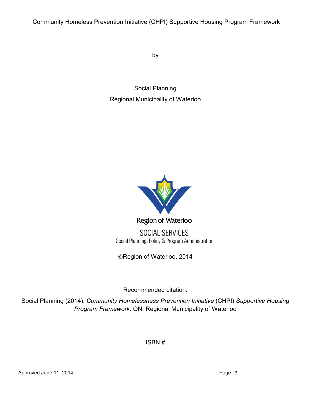Community Homeless Prevention Initiative (CHPI) Supportive Housing Program Framework

by

Social Planning Regional Municipality of Waterloo



Region of Waterloo

**SOCIAL SERVICES** Social Planning, Policy & Program Administration

©Region of Waterloo, 2014

Recommended citation:

Social Planning (2014). *Community Homelessness Prevention Initiative* (CHPI) *Supportive Housing Program Framework.* ON: Regional Municipality of Waterloo

ISBN #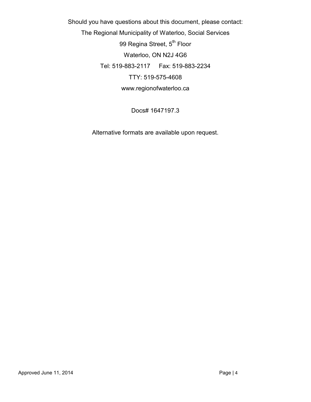Should you have questions about this document, please contact: The Regional Municipality of Waterloo, Social Services 99 Regina Street, 5<sup>th</sup> Floor Waterloo, ON N2J 4G6 Tel: 519-883-2117 Fax: 519-883-2234 TTY: 519-575-4608 www.regionofwaterloo.ca

Docs# 1647197.3

Alternative formats are available upon request.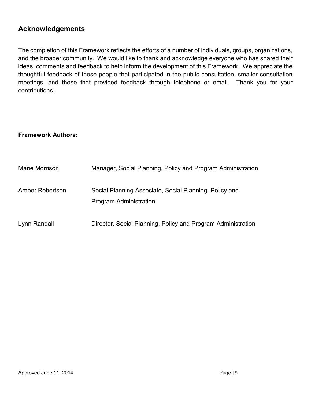### **Acknowledgements**

The completion of this Framework reflects the efforts of a number of individuals, groups, organizations, and the broader community. We would like to thank and acknowledge everyone who has shared their ideas, comments and feedback to help inform the development of this Framework. We appreciate the thoughtful feedback of those people that participated in the public consultation, smaller consultation meetings, and those that provided feedback through telephone or email. Thank you for your contributions.

#### **Framework Authors:**

| Marie Morrison  | Manager, Social Planning, Policy and Program Administration                      |
|-----------------|----------------------------------------------------------------------------------|
| Amber Robertson | Social Planning Associate, Social Planning, Policy and<br>Program Administration |
| Lynn Randall    | Director, Social Planning, Policy and Program Administration                     |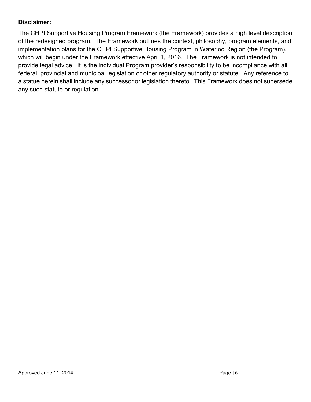#### **Disclaimer:**

The CHPI Supportive Housing Program Framework (the Framework) provides a high level description of the redesigned program. The Framework outlines the context, philosophy, program elements, and implementation plans for the CHPI Supportive Housing Program in Waterloo Region (the Program), which will begin under the Framework effective April 1, 2016. The Framework is not intended to provide legal advice. It is the individual Program provider's responsibility to be incompliance with all federal, provincial and municipal legislation or other regulatory authority or statute. Any reference to a statue herein shall include any successor or legislation thereto. This Framework does not supersede any such statute or regulation.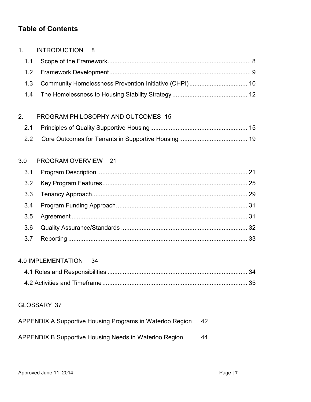## **Table of Contents**

| 1 <sub>1</sub> | <b>INTRODUCTION</b><br>8                                  |    |    |
|----------------|-----------------------------------------------------------|----|----|
| 1.1            |                                                           |    |    |
| 1.2            |                                                           |    |    |
| 1.3            | Community Homelessness Prevention Initiative (CHPI) 10    |    |    |
| 1.4            |                                                           |    |    |
| 2.             | PROGRAM PHILOSOPHY AND OUTCOMES 15                        |    |    |
| 2.1            |                                                           |    |    |
| 2.2            |                                                           |    |    |
| 3.0            | PROGRAM OVERVIEW 21                                       |    |    |
| 3.1            |                                                           |    |    |
| 3.2            |                                                           |    |    |
| 3.3            |                                                           |    |    |
| 3.4            |                                                           |    |    |
| 3.5            |                                                           |    |    |
| 3.6            |                                                           |    |    |
| 3.7            |                                                           |    |    |
|                | <b>4.0 IMPLEMENTATION</b><br>- 34                         |    |    |
|                |                                                           |    | 34 |
|                |                                                           |    |    |
|                | <b>GLOSSARY 37</b>                                        |    |    |
|                | APPENDIX A Supportive Housing Programs in Waterloo Region | 42 |    |
|                | APPENDIX B Supportive Housing Needs in Waterloo Region    | 44 |    |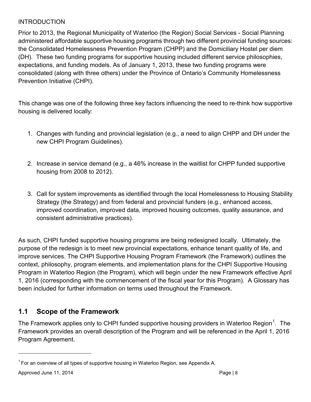### <span id="page-7-0"></span>**INTRODUCTION**

Prior to 2013, the Regional Municipality of Waterloo (the Region) Social Services - Social Planning administered affordable supportive housing programs through two different provincial funding sources: the Consolidated Homelessness Prevention Program (CHPP) and the Domiciliary Hostel per diem (DH). These two funding programs for supportive housing included different service philosophies, expectations, and funding models. As of January 1, 2013, these two funding programs were consolidated (along with three others) under the Province of Ontario's Community Homelessness Prevention Initiative (CHPI).

This change was one of the following three key factors influencing the need to re-think how supportive housing is delivered locally:

- 1. Changes with funding and provincial legislation (e.g., a need to align CHPP and DH under the new CHPI Program Guidelines).
- 2. Increase in service demand (e.g., a 46% increase in the waitlist for CHPP funded supportive housing from 2008 to 2012).
- 3. Call for system improvements as identified through the local Homelessness to Housing Stability Strategy (the Strategy) and from federal and provincial funders (e.g., enhanced access, improved coordination, improved data, improved housing outcomes, quality assurance, and consistent administrative practices).

As such, CHPI funded supportive housing programs are being redesigned locally. Ultimately, the purpose of the redesign is to meet new provincial expectations, enhance tenant quality of life, and improve services. The CHPI Supportive Housing Program Framework (the Framework) outlines the context, philosophy, program elements, and implementation plans for the CHPI Supportive Housing Program in Waterloo Region (the Program), which will begin under the new Framework effective April 1, 2016 (corresponding with the commencement of the fiscal year for this Program). A Glossary has been included for further information on terms used throughout the Framework.

## <span id="page-7-1"></span>**1.1 Scope of the Framework**

The Framework applies only to CHPI funded supportive housing providers in Waterloo Region<sup>[1](#page-7-2)</sup>. The Framework provides an overall description of the Program and will be referenced in the April 1, 2016 Program Agreement.

<span id="page-7-2"></span> $1$  For an overview of all types of supportive housing in Waterloo Region, see Appendix A.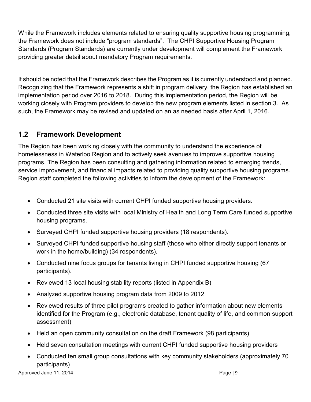While the Framework includes elements related to ensuring quality supportive housing programming, the Framework does not include "program standards". The CHPI Supportive Housing Program Standards (Program Standards) are currently under development will complement the Framework providing greater detail about mandatory Program requirements.

It should be noted that the Framework describes the Program as it is currently understood and planned. Recognizing that the Framework represents a shift in program delivery, the Region has established an implementation period over 2016 to 2018. During this implementation period, the Region will be working closely with Program providers to develop the new program elements listed in section 3. As such, the Framework may be revised and updated on an as needed basis after April 1, 2016.

## <span id="page-8-0"></span>**1.2 Framework Development**

The Region has been working closely with the community to understand the experience of homelessness in Waterloo Region and to actively seek avenues to improve supportive housing programs. The Region has been consulting and gathering information related to emerging trends, service improvement, and financial impacts related to providing quality supportive housing programs. Region staff completed the following activities to inform the development of the Framework:

- Conducted 21 site visits with current CHPI funded supportive housing providers.
- Conducted three site visits with local Ministry of Health and Long Term Care funded supportive housing programs.
- Surveyed CHPI funded supportive housing providers (18 respondents).
- Surveyed CHPI funded supportive housing staff (those who either directly support tenants or work in the home/building) (34 respondents).
- Conducted nine focus groups for tenants living in CHPI funded supportive housing (67 participants).
- Reviewed 13 local housing stability reports (listed in Appendix B)
- Analyzed supportive housing program data from 2009 to 2012
- Reviewed results of three pilot programs created to gather information about new elements identified for the Program (e.g., electronic database, tenant quality of life, and common support assessment)
- Held an open community consultation on the draft Framework (98 participants)
- Held seven consultation meetings with current CHPI funded supportive housing providers
- Conducted ten small group consultations with key community stakeholders (approximately 70 participants)

Approved June 11, 2014 **Page | 9**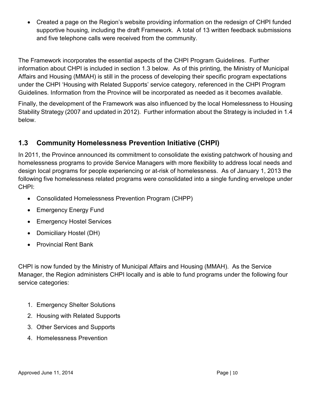• Created a page on the Region's website providing information on the redesign of CHPI funded supportive housing, including the draft Framework. A total of 13 written feedback submissions and five telephone calls were received from the community.

The Framework incorporates the essential aspects of the CHPI Program Guidelines. Further information about CHPI is included in section 1.3 below. As of this printing, the Ministry of Municipal Affairs and Housing (MMAH) is still in the process of developing their specific program expectations under the CHPI 'Housing with Related Supports' service category, referenced in the CHPI Program Guidelines. Information from the Province will be incorporated as needed as it becomes available.

Finally, the development of the Framework was also influenced by the local Homelessness to Housing Stability Strategy (2007 and updated in 2012). Further information about the Strategy is included in 1.4 below.

# <span id="page-9-0"></span>**1.3 Community Homelessness Prevention Initiative (CHPI)**

In 2011, the Province announced its commitment to consolidate the existing patchwork of housing and homelessness programs to provide Service Managers with more flexibility to address local needs and design local programs for people experiencing or at-risk of homelessness. As of January 1, 2013 the following five homelessness related programs were consolidated into a single funding envelope under CHPI:

- Consolidated Homelessness Prevention Program (CHPP)
- Emergency Energy Fund
- Emergency Hostel Services
- Domiciliary Hostel (DH)
- Provincial Rent Bank

CHPI is now funded by the Ministry of Municipal Affairs and Housing (MMAH). As the Service Manager, the Region administers CHPI locally and is able to fund programs under the following four service categories:

- 1. Emergency Shelter Solutions
- 2. Housing with Related Supports
- 3. Other Services and Supports
- 4. Homelessness Prevention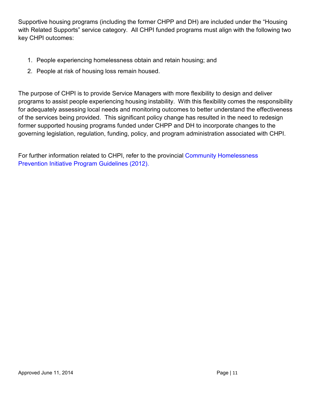Supportive housing programs (including the former CHPP and DH) are included under the "Housing with Related Supports" service category. All CHPI funded programs must align with the following two key CHPI outcomes:

- 1. People experiencing homelessness obtain and retain housing; and
- 2. People at risk of housing loss remain housed.

The purpose of CHPI is to provide Service Managers with more flexibility to design and deliver programs to assist people experiencing housing instability. With this flexibility comes the responsibility for adequately assessing local needs and monitoring outcomes to better understand the effectiveness of the services being provided. This significant policy change has resulted in the need to redesign former supported housing programs funded under CHPP and DH to incorporate changes to the governing legislation, regulation, funding, policy, and program administration associated with CHPI.

For further information related to CHPI, refer to the provincial Community [Homelessness](http://www.mah.gov.on.ca/AssetFactory.aspx?did=10065)  [Prevention Initiative Program](http://www.mah.gov.on.ca/AssetFactory.aspx?did=10065) Guidelines (2012).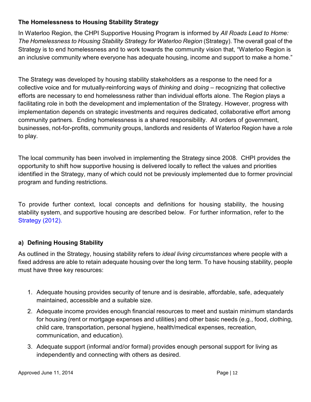### <span id="page-11-0"></span>**The Homelessness to Housing Stability Strategy**

In Waterloo Region, the CHPI Supportive Housing Program is informed by *All Roads Lead to Home: The Homelessness to Housing Stability Strategy for Waterloo Region* (Strategy). The overall goal of the Strategy is to end homelessness and to work towards the community vision that, "Waterloo Region is an inclusive community where everyone has adequate housing, income and support to make a home."

The Strategy was developed by housing stability stakeholders as a response to the need for a collective voice and for mutually-reinforcing ways of *thinking* and *doing –* recognizing that collective efforts are necessary to end homelessness rather than individual efforts alone. The Region plays a facilitating role in both the development and implementation of the Strategy. However, progress with implementation depends on strategic investments and requires dedicated, collaborative effort among community partners. Ending homelessness is a shared responsibility. All orders of government, businesses, not-for-profits, community groups, landlords and residents of Waterloo Region have a role to play.

The local community has been involved in implementing the Strategy since 2008. CHPI provides the opportunity to shift how supportive housing is delivered locally to reflect the values and priorities identified in the Strategy, many of which could not be previously implemented due to former provincial program and funding restrictions.

To provide further context, local concepts and definitions for housing stability, the housing stability system, and supportive housing are described below. For further information, re[fer to the](https://www.regionofwaterloo.ca/en/living-here/resources/Documents/Housing/Homelessness-to-Housing-Stability-Strategy-2012-access.pdf)  [Strategy](https://www.regionofwaterloo.ca/en/living-here/resources/Documents/Housing/Homelessness-to-Housing-Stability-Strategy-2012-access.pdf) (2012).

## **a) Defining Housing Stability**

As outlined in the Strategy, housing stability refers to *ideal living circumstances* where people with a fixed address are able to retain adequate housing over the long term. To have housing stability, people must have three key resources:

- 1. Adequate housing provides security of tenure and is desirable, affordable, safe, adequately maintained, accessible and a suitable size.
- 2. Adequate income provides enough financial resources to meet and sustain minimum standards for housing (rent or mortgage expenses and utilities) and other basic needs (e.g., food, clothing, child care, transportation, personal hygiene, health/medical expenses, recreation, communication, and education).
- 3. Adequate support (informal and/or formal) provides enough personal support for living as independently and connecting with others as desired.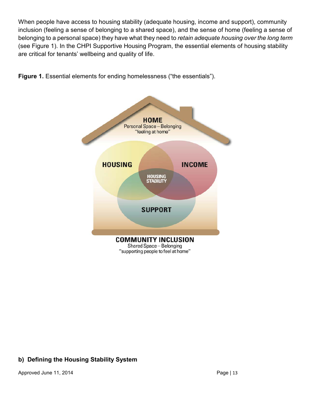When people have access to housing stability (adequate housing, income and support), community inclusion (feeling a sense of belonging to a shared space), and the sense of home (feeling a sense of belonging to a personal space) they have what they need to *retain adequate housing over the long term* (see Figure 1). In the CHPI Supportive Housing Program, the essential elements of housing stability are critical for tenants' wellbeing and quality of life.



**Figure 1.** Essential elements for ending homelessness ("the essentials").

## **b) Defining the Housing Stability System**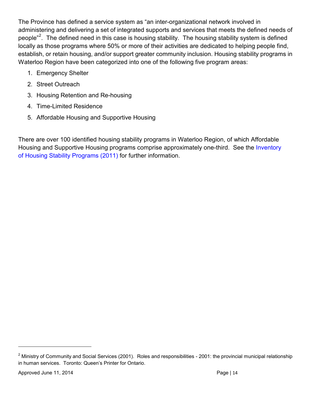The Province has defined a service system as "an inter-organizational network involved in administering and delivering a set of integrated supports and services that meets the defined needs of people"<sup>[2](#page-13-1)</sup>. The defined need in this case is housing stability. The housing stability system is defined locally as those programs where 50% or more of their activities are dedicated to helping people find, establish, or retain housing, and/or support greater community inclusion. Housing stability programs in Waterloo Region have been categorized into one of the following five program areas:

- 1. Emergency Shelter
- 2. Street Outreach
- 3. Housing Retention and Re-housing
- 4. Time-Limited Residence
- 5. Affordable Housing and Supportive Housing

<span id="page-13-0"></span>There are over 100 identified housing stability programs in Waterloo Region, of which Affordable Housing and Supportive Housing programs comprise approximately one-third. See th[e Inventory](https://www.regionofwaterloo.ca/en/living-here/resources/Documents/Housing/Homelessness-to-Housing-Stability-Strategy-Action-Framework.pdf)  of [Housing Stability](https://www.regionofwaterloo.ca/en/living-here/resources/Documents/Housing/Homelessness-to-Housing-Stability-Strategy-Action-Framework.pdf) Programs (2011) for further information.

<span id="page-13-1"></span> $2$  Ministry of Community and Social Services (2001). Roles and responsibilities - 2001: the provincial municipal relationship in human services. Toronto: Queen's Printer for Ontario.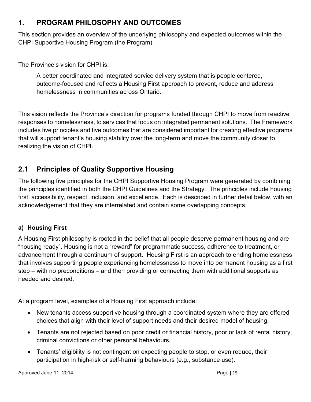# **1. PROGRAM PHILOSOPHY AND OUTCOMES**

This section provides an overview of the underlying philosophy and expected outcomes within the CHPI Supportive Housing Program (the Program).

The Province's vision for CHPI is:

A better coordinated and integrated service delivery system that is people centered, outcome-focused and reflects a Housing First approach to prevent, reduce and address homelessness in communities across Ontario.

This vision reflects the Province's direction for programs funded through CHPI to move from reactive responses to homelessness, to services that focus on integrated permanent solutions. The Framework includes five principles and five outcomes that are considered important for creating effective programs that will support tenant's housing stability over the long-term and move the community closer to realizing the vision of CHPI.

# <span id="page-14-0"></span>**2.1 Principles of Quality Supportive Housing**

The following five principles for the CHPI Supportive Housing Program were generated by combining the principles identified in both the CHPI Guidelines and the Strategy. The principles include housing first, accessibility, respect, inclusion, and excellence. Each is described in further detail below, with an acknowledgement that they are interrelated and contain some overlapping concepts.

## **a) Housing First**

A Housing First philosophy is rooted in the belief that all people deserve permanent housing and are "housing ready". Housing is not a "reward" for programmatic success, adherence to treatment, or advancement through a continuum of support. Housing First is an approach to ending homelessness that involves supporting people experiencing homelessness to move into permanent housing as a first step – with no preconditions – and then providing or connecting them with additional supports as needed and desired.

At a program level, examples of a Housing First approach include:

- New tenants access supportive housing through a coordinated system where they are offered choices that align with their level of support needs and their desired model of housing.
- Tenants are not rejected based on poor credit or financial history, poor or lack of rental history, criminal convictions or other personal behaviours.
- Tenants' eligibility is not contingent on expecting people to stop, or even reduce, their participation in high-risk or self-harming behaviours (e.g., substance use).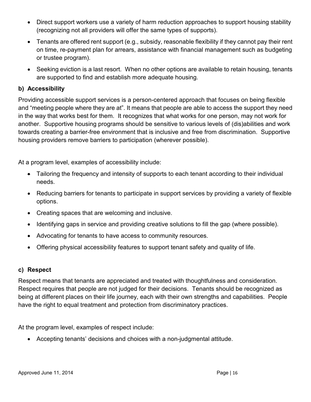- Direct support workers use a variety of harm reduction approaches to support housing stability (recognizing not all providers will offer the same types of supports).
- Tenants are offered rent support (e.g., subsidy, reasonable flexibility if they cannot pay their rent on time, re-payment plan for arrears, assistance with financial management such as budgeting or trustee program).
- Seeking eviction is a last resort. When no other options are available to retain housing, tenants are supported to find and establish more adequate housing.

#### **b) Accessibility**

Providing accessible support services is a person-centered approach that focuses on being flexible and "meeting people where they are at". It means that people are able to access the support they need in the way that works best for them. It recognizes that what works for one person, may not work for another. Supportive housing programs should be sensitive to various levels of (dis)abilities and work towards creating a barrier-free environment that is inclusive and free from discrimination. Supportive housing providers remove barriers to participation (wherever possible).

At a program level, examples of accessibility include:

- Tailoring the frequency and intensity of supports to each tenant according to their individual needs.
- Reducing barriers for tenants to participate in support services by providing a variety of flexible options.
- Creating spaces that are welcoming and inclusive.
- Identifying gaps in service and providing creative solutions to fill the gap (where possible).
- Advocating for tenants to have access to community resources.
- Offering physical accessibility features to support tenant safety and quality of life.

#### **c) Respect**

Respect means that tenants are appreciated and treated with thoughtfulness and consideration. Respect requires that people are not judged for their decisions. Tenants should be recognized as being at different places on their life journey, each with their own strengths and capabilities. People have the right to equal treatment and protection from discriminatory practices.

At the program level, examples of respect include:

• Accepting tenants' decisions and choices with a non-judgmental attitude.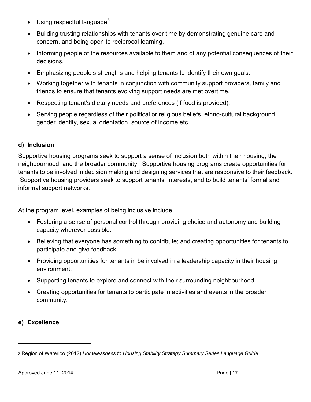- Using respectful language<sup>[3](#page-16-0)</sup>
- Building trusting relationships with tenants over time by demonstrating genuine care and concern, and being open to reciprocal learning.
- Informing people of the resources available to them and of any potential consequences of their decisions.
- Emphasizing people's strengths and helping tenants to identify their own goals.
- Working together with tenants in conjunction with community support providers, family and friends to ensure that tenants evolving support needs are met overtime.
- Respecting tenant's dietary needs and preferences (if food is provided).
- Serving people regardless of their political or religious beliefs, ethno-cultural background, gender identity, sexual orientation, source of income etc.

#### **d) Inclusion**

Supportive housing programs seek to support a sense of inclusion both within their housing, the neighbourhood, and the broader community. Supportive housing programs create opportunities for tenants to be involved in decision making and designing services that are responsive to their feedback. Supportive housing providers seek to support tenants' interests, and to build tenants' formal and informal support networks.

At the program level, examples of being inclusive include:

- Fostering a sense of personal control through providing choice and autonomy and building capacity wherever possible.
- Believing that everyone has something to contribute; and creating opportunities for tenants to participate and give feedback.
- Providing opportunities for tenants in be involved in a leadership capacity in their housing environment.
- Supporting tenants to explore and connect with their surrounding neighbourhood.
- Creating opportunities for tenants to participate in activities and events in the broader community.

### **e) Excellence**

<span id="page-16-0"></span><sup>3</sup> Region of Waterloo (2012) *Homelessness to Housing Stability Strategy Summary Series Language Guide*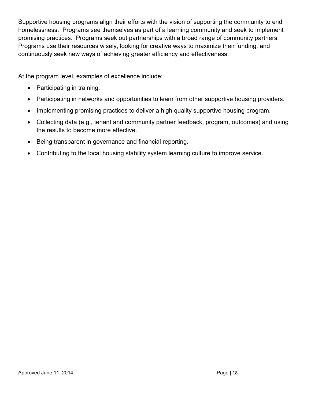Supportive housing programs align their efforts with the vision of supporting the community to end homelessness. Programs see themselves as part of a learning community and seek to implement promising practices. Programs seek out partnerships with a broad range of community partners. Programs use their resources wisely, looking for creative ways to maximize their funding, and continuously seek new ways of achieving greater efficiency and effectiveness.

At the program level, examples of excellence include:

- Participating in training.
- Participating in networks and opportunities to learn from other supportive housing providers.
- Implementing promising practices to deliver a high quality supportive housing program.
- Collecting data (e.g., tenant and community partner feedback, program, outcomes) and using the results to become more effective.
- Being transparent in governance and financial reporting.
- <span id="page-17-0"></span>• Contributing to the local housing stability system learning culture to improve service.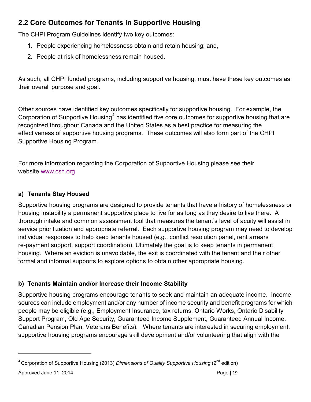# **2.2 Core Outcomes for Tenants in Supportive Housing**

The CHPI Program Guidelines identify two key outcomes:

- 1. People experiencing homelessness obtain and retain housing; and,
- 2. People at risk of homelessness remain housed.

As such, all CHPI funded programs, including supportive housing, must have these key outcomes as their overall purpose and goal.

Other sources have identified key outcomes specifically for supportive housing. For example, the Corporation of Supportive Housing<sup>[4](#page-18-0)</sup> has identified five core outcomes for supportive housing that are recognized throughout Canada and the United States as a best practice for measuring the effectiveness of supportive housing programs. These outcomes will also form part of the CHPI Supportive Housing Program.

For more information regarding the Corporation of Supportive Housing please see their [website www.](http://www.csh.org/)csh.org

## **a) Tenants Stay Housed**

Supportive housing programs are designed to provide tenants that have a history of homelessness or housing instability a permanent supportive place to live for as long as they desire to live there. A thorough intake and common assessment tool that measures the tenant's level of acuity will assist in service prioritization and appropriate referral. Each supportive housing program may need to develop individual responses to help keep tenants housed (e.g., conflict resolution panel, rent arrears re-payment support, support coordination). Ultimately the goal is to keep tenants in permanent housing. Where an eviction is unavoidable, the exit is coordinated with the tenant and their other formal and informal supports to explore options to obtain other appropriate housing.

## **b) Tenants Maintain and/or Increase their Income Stability**

Supportive housing programs encourage tenants to seek and maintain an adequate income. Income sources can include employment and/or any number of income security and benefit programs for which people may be eligible (e.g., Employment Insurance, tax returns, Ontario Works, Ontario Disability Support Program, Old Age Security, Guaranteed Income Supplement, Guaranteed Annual Income, Canadian Pension Plan, Veterans Benefits). Where tenants are interested in securing employment, supportive housing programs encourage skill development and/or volunteering that align with the

<span id="page-18-0"></span><sup>&</sup>lt;sup>4</sup> Corporation of Supportive Housing (2013) *Dimensions of Quality Supportive Housing* (2<sup>nd</sup> edition)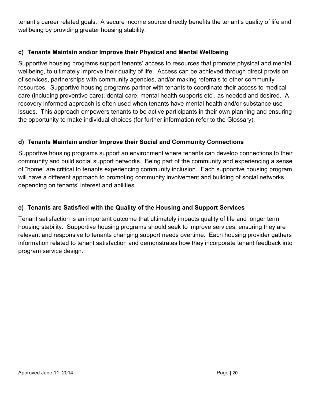tenant's career related goals. A secure income source directly benefits the tenant's quality of life and wellbeing by providing greater housing stability.

### **c) Tenants Maintain and/or Improve their Physical and Mental Wellbeing**

Supportive housing programs support tenants' access to resources that promote physical and mental wellbeing, to ultimately improve their quality of life. Access can be achieved through direct provision of services, partnerships with community agencies, and/or making referrals to other community resources. Supportive housing programs partner with tenants to coordinate their access to medical care (including preventive care), dental care, mental health supports etc., as needed and desired. A recovery informed approach is often used when tenants have mental health and/or substance use issues. This approach empowers tenants to be active participants in their own planning and ensuring the opportunity to make individual choices (for further information refer to the Glossary).

### **d) Tenants Maintain and/or Improve their Social and Community Connections**

Supportive housing programs support an environment where tenants can develop connections to their community and build social support networks. Being part of the community and experiencing a sense of "home" are critical to tenants experiencing community inclusion. Each supportive housing program will have a different approach to promoting community involvement and building of social networks, depending on tenants' interest and abilities.

### **e) Tenants are Satisfied with the Quality of the Housing and Support Services**

Tenant satisfaction is an important outcome that ultimately impacts quality of life and longer term housing stability. Supportive housing programs should seek to improve services, ensuring they are relevant and responsive to tenants changing support needs overtime. Each housing provider gathers information related to tenant satisfaction and demonstrates how they incorporate tenant feedback into program service design.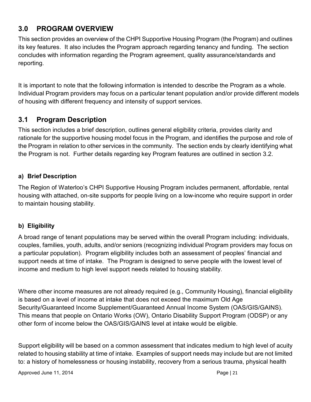# <span id="page-20-0"></span>**3.0 PROGRAM OVERVIEW**

This section provides an overview of the CHPI Supportive Housing Program (the Program) and outlines its key features. It also includes the Program approach regarding tenancy and funding. The section concludes with information regarding the Program agreement, quality assurance/standards and reporting.

It is important to note that the following information is intended to describe the Program as a whole. Individual Program providers may focus on a particular tenant population and/or provide different models of housing with different frequency and intensity of support services.

## <span id="page-20-1"></span>**3.1 Program Description**

This section includes a brief description, outlines general eligibility criteria, provides clarity and rationale for the supportive housing model focus in the Program, and identifies the purpose and role of the Program in relation to other services in the community. The section ends by clearly identifying what the Program is not. Further details regarding key Program features are outlined in section 3.2.

#### **a) Brief Description**

The Region of Waterloo's CHPI Supportive Housing Program includes permanent, affordable, rental housing with attached, on-site supports for people living on a low-income who require support in order to maintain housing stability.

### **b) Eligibility**

A broad range of tenant populations may be served within the overall Program including: individuals, couples, families, youth, adults, and/or seniors (recognizing individual Program providers may focus on a particular population). Program eligibility includes both an assessment of peoples' financial and support needs at time of intake. The Program is designed to serve people with the lowest level of income and medium to high level support needs related to housing stability.

Where other income measures are not already required (e.g., Community Housing), financial eligibility is based on a level of income at intake that does not exceed the maximum Old Age Security/Guaranteed Income Supplement/Guaranteed Annual Income System (OAS/GIS/GAINS). This means that people on Ontario Works (OW), Ontario Disability Support Program (ODSP) or any other form of income below the OAS/GIS/GAINS level at intake would be eligible.

Support eligibility will be based on a common assessment that indicates medium to high level of acuity related to housing stability at time of intake. Examples of support needs may include but are not limited to: a history of homelessness or housing instability, recovery from a serious trauma, physical health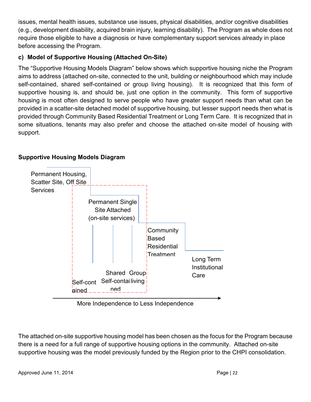issues, mental health issues, substance use issues, physical disabilities, and/or cognitive disabilities (e.g., development disability, acquired brain injury, learning disability). The Program as whole does not require those eligible to have a diagnosis or have complementary support services already in place before accessing the Program.

### **c) Model of Supportive Housing (Attached On-Site)**

The "Supportive Housing Models Diagram" below shows which supportive housing niche the Program aims to address (attached on-site, connected to the unit, building or neighbourhood which may include self-contained, shared self-contained or group living housing). It is recognized that this form of supportive housing is, and should be, just one option in the community. This form of supportive housing is most often designed to serve people who have greater support needs than what can be provided in a scatter-site detached model of supportive housing, but lesser support needs then what is provided through Community Based Residential Treatment or Long Term Care. It is recognized that in some situations, tenants may also prefer and choose the attached on-site model of housing with support.



### **Supportive Housing Models Diagram**

More Independence to Less Independence

The attached on-site supportive housing model has been chosen as the focus for the Program because there is a need for a full range of supportive housing options in the community. Attached on-site supportive housing was the model previously funded by the Region prior to the CHPI consolidation.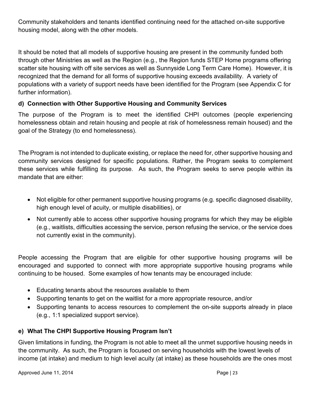Community stakeholders and tenants identified continuing need for the attached on-site supportive housing model, along with the other models.

It should be noted that all models of supportive housing are present in the community funded both through other Ministries as well as the Region (e.g., the Region funds STEP Home programs offering scatter site housing with off site services as well as Sunnyside Long Term Care Home). However, it is recognized that the demand for all forms of supportive housing exceeds availability. A variety of populations with a variety of support needs have been identified for the Program (see Appendix C for further information).

### **d) Connection with Other Supportive Housing and Community Services**

The purpose of the Program is to meet the identified CHPI outcomes (people experiencing homelessness obtain and retain housing and people at risk of homelessness remain housed) and the goal of the Strategy (to end homelessness).

The Program is not intended to duplicate existing, or replace the need for, other supportive housing and community services designed for specific populations. Rather, the Program seeks to complement these services while fulfilling its purpose. As such, the Program seeks to serve people within its mandate that are either:

- Not eligible for other permanent supportive housing programs (e.g. specific diagnosed disability, high enough level of acuity, or multiple disabilities), or
- Not currently able to access other supportive housing programs for which they may be eligible (e.g., waitlists, difficulties accessing the service, person refusing the service, or the service does not currently exist in the community).

People accessing the Program that are eligible for other supportive housing programs will be encouraged and supported to connect with more appropriate supportive housing programs while continuing to be housed. Some examples of how tenants may be encouraged include:

- Educating tenants about the resources available to them
- Supporting tenants to get on the waitlist for a more appropriate resource, and/or
- Supporting tenants to access resources to complement the on-site supports already in place (e.g., 1:1 specialized support service).

## **e) What The CHPI Supportive Housing Program Isn't**

Given limitations in funding, the Program is not able to meet all the unmet supportive housing needs in the community. As such, the Program is focused on serving households with the lowest levels of income (at intake) and medium to high level acuity (at intake) as these households are the ones most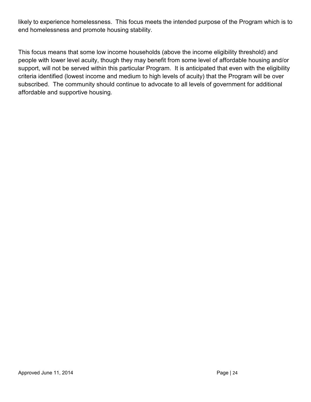likely to experience homelessness. This focus meets the intended purpose of the Program which is to end homelessness and promote housing stability.

<span id="page-23-0"></span>This focus means that some low income households (above the income eligibility threshold) and people with lower level acuity, though they may benefit from some level of affordable housing and/or support, will not be served within this particular Program. It is anticipated that even with the eligibility criteria identified (lowest income and medium to high levels of acuity) that the Program will be over subscribed. The community should continue to advocate to all levels of government for additional affordable and supportive housing.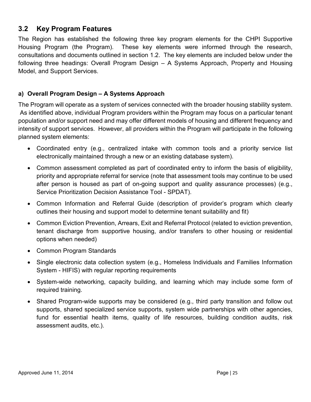## **3.2 Key Program Features**

The Region has established the following three key program elements for the CHPI Supportive Housing Program (the Program). These key elements were informed through the research, consultations and documents outlined in section 1.2. The key elements are included below under the following three headings: Overall Program Design – A Systems Approach, Property and Housing Model, and Support Services.

#### **a) Overall Program Design – A Systems Approach**

The Program will operate as a system of services connected with the broader housing stability system. As identified above, individual Program providers within the Program may focus on a particular tenant population and/or support need and may offer different models of housing and different frequency and intensity of support services. However, all providers within the Program will participate in the following planned system elements:

- Coordinated entry (e.g., centralized intake with common tools and a priority service list electronically maintained through a new or an existing database system).
- Common assessment completed as part of coordinated entry to inform the basis of eligibility, priority and appropriate referral for service (note that assessment tools may continue to be used after person is housed as part of on-going support and quality assurance processes) (e.g., Service Prioritization Decision Assistance Tool - SPDAT).
- Common Information and Referral Guide (description of provider's program which clearly outlines their housing and support model to determine tenant suitability and fit)
- Common Eviction Prevention, Arrears, Exit and Referral Protocol (related to eviction prevention, tenant discharge from supportive housing, and/or transfers to other housing or residential options when needed)
- Common Program Standards
- Single electronic data collection system (e.g., Homeless Individuals and Families Information System - HIFIS) with regular reporting requirements
- System-wide networking, capacity building, and learning which may include some form of required training.
- Shared Program-wide supports may be considered (e.g., third party transition and follow out supports, shared specialized service supports, system wide partnerships with other agencies, fund for essential health items, quality of life resources, building condition audits, risk assessment audits, etc.).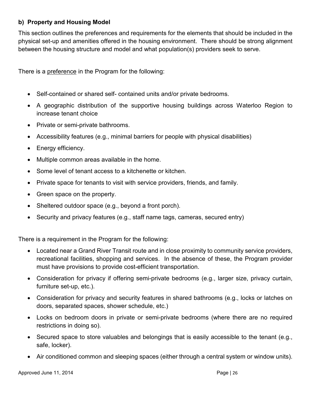#### **b) Property and Housing Model**

This section outlines the preferences and requirements for the elements that should be included in the physical set-up and amenities offered in the housing environment. There should be strong alignment between the housing structure and model and what population(s) providers seek to serve.

There is a preference in the Program for the following:

- Self-contained or shared self- contained units and/or private bedrooms.
- A geographic distribution of the supportive housing buildings across Waterloo Region to increase tenant choice
- Private or semi-private bathrooms.
- Accessibility features (e.g., minimal barriers for people with physical disabilities)
- Energy efficiency.
- Multiple common areas available in the home.
- Some level of tenant access to a kitchenette or kitchen.
- Private space for tenants to visit with service providers, friends, and family.
- Green space on the property.
- Sheltered outdoor space (e.g., beyond a front porch).
- Security and privacy features (e.g., staff name tags, cameras, secured entry)

There is a requirement in the Program for the following:

- Located near a Grand River Transit route and in close proximity to community service providers, recreational facilities, shopping and services. In the absence of these, the Program provider must have provisions to provide cost-efficient transportation.
- Consideration for privacy if offering semi-private bedrooms (e.g., larger size, privacy curtain, furniture set-up, etc.).
- Consideration for privacy and security features in shared bathrooms (e.g., locks or latches on doors, separated spaces, shower schedule, etc.)
- Locks on bedroom doors in private or semi-private bedrooms (where there are no required restrictions in doing so).
- Secured space to store valuables and belongings that is easily accessible to the tenant (e.g., safe, locker).
- Air conditioned common and sleeping spaces (either through a central system or window units).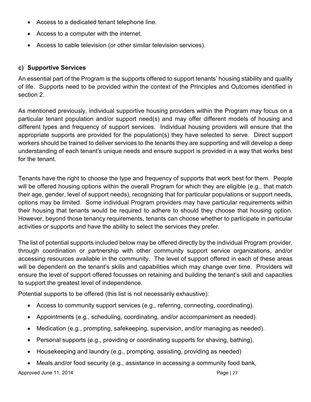- Access to a dedicated tenant telephone line.
- Access to a computer with the internet.
- Access to cable television (or other similar television services).

#### **c) Supportive Services**

An essential part of the Program is the supports offered to support tenants' housing stability and quality of life. Supports need to be provided within the context of the Principles and Outcomes identified in section 2.

As mentioned previously, individual supportive housing providers within the Program may focus on a particular tenant population and/or support need(s) and may offer different models of housing and different types and frequency of support services. Individual housing providers will ensure that the appropriate supports are provided for the population(s) they have selected to serve. Direct support workers should be trained to deliver services to the tenants they are supporting and will develop a deep understanding of each tenant's unique needs and ensure support is provided in a way that works best for the tenant.

Tenants have the right to choose the type and frequency of supports that work best for them. People will be offered housing options within the overall Program for which they are eligible (e.g., that match their age, gender, level of support needs), recognizing that for particular populations or support needs, options may be limited. Some individual Program providers may have particular requirements within their housing that tenants would be required to adhere to should they choose that housing option. However, beyond those tenancy requirements, tenants can choose whether to participate in particular activities or supports and have the ability to select the services they prefer.

The list of potential supports included below may be offered directly by the individual Program provider, through coordination or partnership with other community support service organizations, and/or accessing resources available in the community. The level of support offered in each of these areas will be dependent on the tenant's skills and capabilities which may change over time. Providers will ensure the level of support offered focusses on retaining and building the tenant's skill and capacities to support the greatest level of independence.

Potential supports to be offered (this list is not necessarily exhaustive):

- Access to community support services (e.g., referring, connecting, coordinating).
- Appointments (e.g., scheduling, coordinating, and/or accompaniment as needed).
- Medication (e.g., prompting, safekeeping, supervision, and/or managing as needed).
- Personal supports (e.g., providing or coordinating supports for shaving, bathing).
- Housekeeping and laundry (e.g., prompting, assisting, providing as needed)
- Meals and/or food security (e.g., assistance in accessing a community food bank,

Approved June 11, 2014 **Page | 27** Approved June 11, 2014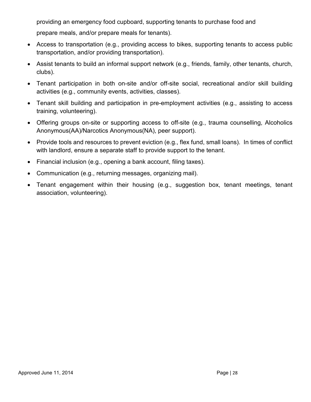providing an emergency food cupboard, supporting tenants to purchase food and

prepare meals, and/or prepare meals for tenants).

- Access to transportation (e.g., providing access to bikes, supporting tenants to access public transportation, and/or providing transportation).
- Assist tenants to build an informal support network (e.g., friends, family, other tenants, church, clubs).
- Tenant participation in both on-site and/or off-site social, recreational and/or skill building activities (e.g., community events, activities, classes).
- Tenant skill building and participation in pre-employment activities (e.g., assisting to access training, volunteering).
- Offering groups on-site or supporting access to off-site (e.g., trauma counselling, Alcoholics Anonymous(AA)/Narcotics Anonymous(NA), peer support).
- Provide tools and resources to prevent eviction (e.g., flex fund, small loans). In times of conflict with landlord, ensure a separate staff to provide support to the tenant.
- Financial inclusion (e.g., opening a bank account, filing taxes).
- Communication (e.g., returning messages, organizing mail).
- <span id="page-27-0"></span>• Tenant engagement within their housing (e.g., suggestion box, tenant meetings, tenant association, volunteering).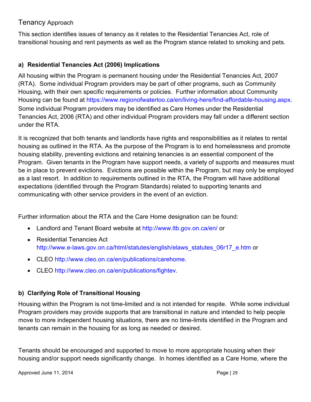## Tenancy Approach

This section identifies issues of tenancy as it relates to the Residential Tenancies Act, role of transitional housing and rent payments as well as the Program stance related to smoking and pets.

### **a) Residential Tenancies Act (2006) Implications**

All housing within the Program is permanent housing under the Residential Tenancies Act, 2007 (RTA). Some individual Program providers may be part of other programs, such as Community Housing, with their own specific requirements or policies. Further information about Community Housing can be found at <https://www.regionofwaterloo.ca/en/living-here/find-affordable-housing.aspx>. Some individual Program providers may be identified as Care Homes under the Residential Tenancies Act, 2006 (RTA) and other individual Program providers may fall under a different section under the RTA.

It is recognized that both tenants and landlords have rights and responsibilities as it relates to rental housing as outlined in the RTA. As the purpose of the Program is to end homelessness and promote housing stability, preventing evictions and retaining tenancies is an essential component of the Program. Given tenants in the Program have support needs, a variety of supports and measures must be in place to prevent evictions. Evictions are possible within the Program, but may only be employed as a last resort. In addition to requirements outlined in the RTA, the Program will have additional expectations (identified through the Program Standards) related to supporting tenants and communicating with other service providers in the event of an eviction.

Further information about the RTA and the Care Home designation can be found:

- Landlord and Tenant Board website at <http://www.ltb.gov.on.ca/en/> or
- Residential Tenancies Act [http://www.e-laws.gov.on.ca/html/statutes/english/elaws\\_statutes\\_06r17\\_e.htm](http://www.e-laws.gov.on.ca/html/statutes/english/elaws_statutes_06r17_e.htm) or
- CLEO [http://www.cleo.on.ca/en/publications/carehome.](http://www.cleo.on.ca/en/publications/carehome)
- CLEO [http://www.cleo.on.ca/en/publications/fightev.](http://www.cleo.on.ca/en/publications/fightev)

### **b) Clarifying Role of Transitional Housing**

Housing within the Program is not time-limited and is not intended for respite. While some individual Program providers may provide supports that are transitional in nature and intended to help people move to more independent housing situations, there are no time-limits identified in the Program and tenants can remain in the housing for as long as needed or desired.

Tenants should be encouraged and supported to move to more appropriate housing when their housing and/or support needs significantly change. In homes identified as a Care Home, where the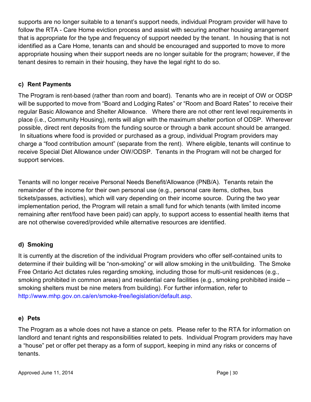supports are no longer suitable to a tenant's support needs, individual Program provider will have to follow the RTA - Care Home eviction process and assist with securing another housing arrangement that is appropriate for the type and frequency of support needed by the tenant. In housing that is not identified as a Care Home, tenants can and should be encouraged and supported to move to more appropriate housing when their support needs are no longer suitable for the program; however, if the tenant desires to remain in their housing, they have the legal right to do so.

#### **c) Rent Payments**

The Program is rent-based (rather than room and board). Tenants who are in receipt of OW or ODSP will be supported to move from "Board and Lodging Rates" or "Room and Board Rates" to receive their regular Basic Allowance and Shelter Allowance. Where there are not other rent level requirements in place (i.e., Community Housing), rents will align with the maximum shelter portion of ODSP. Wherever possible, direct rent deposits from the funding source or through a bank account should be arranged. In situations where food is provided or purchased as a group, individual Program providers may charge a "food contribution amount" (separate from the rent). Where eligible, tenants will continue to receive Special Diet Allowance under OW/ODSP. Tenants in the Program will not be charged for support services.

Tenants will no longer receive Personal Needs Benefit/Allowance (PNB/A). Tenants retain the remainder of the income for their own personal use (e.g., personal care items, clothes, bus tickets/passes, activities), which will vary depending on their income source. During the two year implementation period, the Program will retain a small fund for which tenants (with limited income remaining after rent/food have been paid) can apply, to support access to essential health items that are not otherwise covered/provided while alternative resources are identified.

### **d) Smoking**

It is currently at the discretion of the individual Program providers who offer self-contained units to determine if their building will be "non-smoking" or will allow smoking in the unit/building. The Smoke Free Ontario Act dictates rules regarding smoking, including those for multi-unit residences (e.g., smoking prohibited in common areas) and residential care facilities (e.g., smoking prohibited inside – smoking shelters must be nine meters from building). For further information, refer to [http://www.mhp.gov.on.ca/en/smoke-free/legislation/default.asp.](http://www.mhp.gov.on.ca/en/smoke-free/legislation/default.asp)

#### **e) Pets**

The Program as a whole does not have a stance on pets. Please refer to the RTA for information on landlord and tenant rights and responsibilities related to pets. Individual Program providers may have a "house" pet or offer pet therapy as a form of support, keeping in mind any risks or concerns of tenants.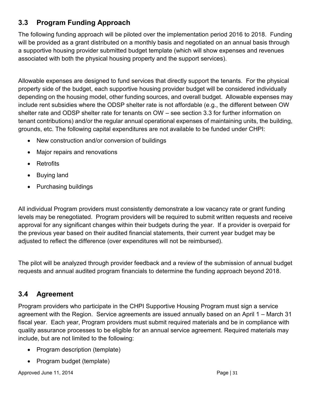# <span id="page-30-0"></span>**3.3 Program Funding Approach**

The following funding approach will be piloted over the implementation period 2016 to 2018. Funding will be provided as a grant distributed on a monthly basis and negotiated on an annual basis through a supportive housing provider submitted budget template (which will show expenses and revenues associated with both the physical housing property and the support services).

Allowable expenses are designed to fund services that directly support the tenants. For the physical property side of the budget, each supportive housing provider budget will be considered individually depending on the housing model, other funding sources, and overall budget. Allowable expenses may include rent subsidies where the ODSP shelter rate is not affordable (e.g., the different between OW shelter rate and ODSP shelter rate for tenants on OW – see section 3.3 for further information on tenant contributions) and/or the regular annual operational expenses of maintaining units, the building, grounds, etc. The following capital expenditures are not available to be funded under CHPI:

- New construction and/or conversion of buildings
- Major repairs and renovations
- Retrofits
- Buying land
- Purchasing buildings

All individual Program providers must consistently demonstrate a low vacancy rate or grant funding levels may be renegotiated. Program providers will be required to submit written requests and receive approval for any significant changes within their budgets during the year. If a provider is overpaid for the previous year based on their audited financial statements, their current year budget may be adjusted to reflect the difference (over expenditures will not be reimbursed).

The pilot will be analyzed through provider feedback and a review of the submission of annual budget requests and annual audited program financials to determine the funding approach beyond 2018.

# <span id="page-30-1"></span>**3.4 Agreement**

Program providers who participate in the CHPI Supportive Housing Program must sign a service agreement with the Region. Service agreements are issued annually based on an April 1 – March 31 fiscal year. Each year, Program providers must submit required materials and be in compliance with quality assurance processes to be eligible for an annual service agreement. Required materials may include, but are not limited to the following:

- Program description (template)
- Program budget (template)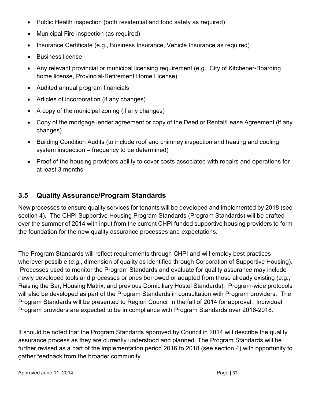- Public Health inspection (both residential and food safety as required)
- Municipal Fire inspection (as required)
- Insurance Certificate (e.g., Business Insurance, Vehicle Insurance as required)
- Business license
- Any relevant provincial or municipal licensing requirement (e.g., City of Kitchener-Boarding home license, Provincial-Retirement Home License)
- Audited annual program financials
- Articles of incorporation (if any changes)
- A copy of the municipal zoning (if any changes)
- Copy of the mortgage lender agreement or copy of the Deed or Rental/Lease Agreement (if any changes)
- Building Condition Audits (to include roof and chimney inspection and heating and cooling system inspection – frequency to be determined)
- Proof of the housing providers ability to cover costs associated with repairs and operations for at least 3 months

## <span id="page-31-0"></span>**3.5 Quality Assurance/Program Standards**

New processes to ensure quality services for tenants will be developed and implemented by 2018 (see section 4). The CHPI Supportive Housing Program Standards (Program Standards) will be drafted over the summer of 2014 with input from the current CHPI funded supportive housing providers to form the foundation for the new quality assurance processes and expectations.

The Program Standards will reflect requirements through CHPI and will employ best practices wherever possible (e.g., dimension of quality as identified through Corporation of Supportive Housing). Processes used to monitor the Program Standards and evaluate for quality assurance may include newly developed tools and processes or ones borrowed or adapted from those already existing (e.g., Raising the Bar, Housing Matrix, and previous Domiciliary Hostel Standards). Program-wide protocols will also be developed as part of the Program Standards in consultation with Program providers. The Program Standards will be presented to Region Council in the fall of 2014 for approval. Individual Program providers are expected to be in compliance with Program Standards over 2016-2018.

It should be noted that the Program Standards approved by Council in 2014 will describe the quality assurance process as they are currently understood and planned. The Program Standards will be further revised as a part of the implementation period 2016 to 2018 (see section 4) with opportunity to gather feedback from the broader community.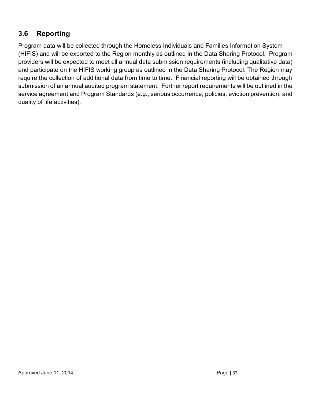## <span id="page-32-0"></span>**3.6 Reporting**

Program data will be collected through the Homeless Individuals and Families Information System (HIFIS) and will be exported to the Region monthly as outlined in the Data Sharing Protocol. Program providers will be expected to meet all annual data submission requirements (including qualitative data) and participate on the HIFIS working group as outlined in the Data Sharing Protocol. The Region may require the collection of additional data from time to time. Financial reporting will be obtained through submission of an annual audited program statement. Further report requirements will be outlined in the service agreement and Program Standards (e.g., serious occurrence, policies, eviction prevention, and quality of life activities).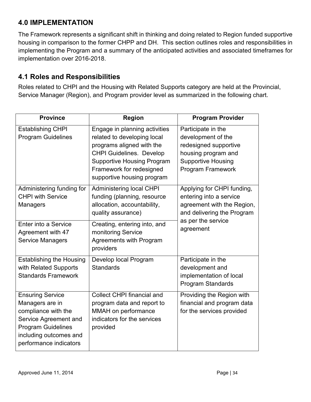## <span id="page-33-0"></span>**4.0 IMPLEMENTATION**

The Framework represents a significant shift in thinking and doing related to Region funded supportive housing in comparison to the former CHPP and DH. This section outlines roles and responsibilities in implementing the Program and a summary of the anticipated activities and associated timeframes for implementation over 2016-2018.

## <span id="page-33-1"></span>**4.1 Roles and Responsibilities**

Roles related to CHPI and the Housing with Related Supports category are held at the Provincial, Service Manager (Region), and Program provider level as summarized in the following chart.

| <b>Province</b>                                                                                                                                                             | <b>Region</b>                                                                                                                                                                                                               | <b>Program Provider</b>                                                                                                                    |
|-----------------------------------------------------------------------------------------------------------------------------------------------------------------------------|-----------------------------------------------------------------------------------------------------------------------------------------------------------------------------------------------------------------------------|--------------------------------------------------------------------------------------------------------------------------------------------|
| <b>Establishing CHPI</b><br><b>Program Guidelines</b>                                                                                                                       | Engage in planning activities<br>related to developing local<br>programs aligned with the<br><b>CHPI Guidelines. Develop</b><br><b>Supportive Housing Program</b><br>Framework for redesigned<br>supportive housing program | Participate in the<br>development of the<br>redesigned supportive<br>housing program and<br><b>Supportive Housing</b><br>Program Framework |
| Administering funding for<br><b>CHPI with Service</b><br><b>Managers</b>                                                                                                    | <b>Administering local CHPI</b><br>funding (planning, resource<br>allocation, accountability,<br>quality assurance)                                                                                                         | Applying for CHPI funding,<br>entering into a service<br>agreement with the Region,<br>and delivering the Program                          |
| Enter into a Service<br>Agreement with 47<br>Service Managers                                                                                                               | Creating, entering into, and<br>monitoring Service<br><b>Agreements with Program</b><br>providers                                                                                                                           | as per the service<br>agreement                                                                                                            |
| <b>Establishing the Housing</b><br>with Related Supports<br><b>Standards Framework</b>                                                                                      | Develop local Program<br><b>Standards</b>                                                                                                                                                                                   | Participate in the<br>development and<br>implementation of local<br>Program Standards                                                      |
| <b>Ensuring Service</b><br>Managers are in<br>compliance with the<br>Service Agreement and<br><b>Program Guidelines</b><br>including outcomes and<br>performance indicators | Collect CHPI financial and<br>program data and report to<br>MMAH on performance<br>indicators for the services<br>provided                                                                                                  | Providing the Region with<br>financial and program data<br>for the services provided                                                       |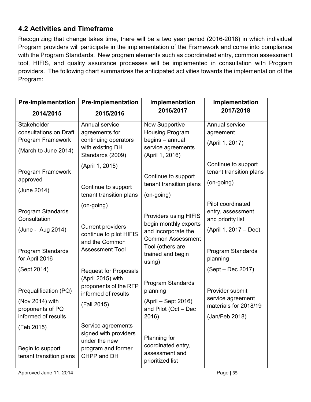# <span id="page-34-0"></span>**4.2 Activities and Timeframe**

Recognizing that change takes time, there will be a two year period (2016-2018) in which individual Program providers will participate in the implementation of the Framework and come into compliance with the Program Standards. New program elements such as coordinated entry, common assessment tool, HIFIS, and quality assurance processes will be implemented in consultation with Program providers. The following chart summarizes the anticipated activities towards the implementation of the Program:

| <b>Pre-Implementation</b>                   | <b>Pre-Implementation</b>                  | Implementation                                  | Implementation                             |
|---------------------------------------------|--------------------------------------------|-------------------------------------------------|--------------------------------------------|
| 2014/2015                                   | 2015/2016                                  | 2016/2017                                       | 2017/2018                                  |
| Stakeholder                                 | Annual service                             | <b>New Supportive</b>                           | Annual service                             |
| consultations on Draft<br>Program Framework | agreements for<br>continuing operators     | <b>Housing Program</b><br>begins - annual       | agreement                                  |
| (March to June 2014)                        | with existing DH                           | service agreements                              | (April 1, 2017)                            |
|                                             | Standards (2009)                           | (April 1, 2016)                                 |                                            |
|                                             | (April 1, 2015)                            |                                                 | Continue to support                        |
| Program Framework<br>approved               |                                            | Continue to support                             | tenant transition plans                    |
|                                             | Continue to support                        | tenant transition plans                         | (on-going)                                 |
| (June 2014)                                 | tenant transition plans                    | (on-going)                                      |                                            |
|                                             | (on-going)                                 |                                                 | Pilot coordinated                          |
| Program Standards<br>Consultation           |                                            | <b>Providers using HIFIS</b>                    | entry, assessment<br>and priority list     |
|                                             | <b>Current providers</b>                   | begin monthly exports                           |                                            |
| (June - Aug 2014)                           | continue to pilot HIFIS                    | and incorporate the<br><b>Common Assessment</b> | (April 1, 2017 – Dec)                      |
|                                             | and the Common                             | Tool (others are                                |                                            |
| <b>Program Standards</b>                    | <b>Assessment Tool</b>                     | trained and begin                               | Program Standards                          |
| for April 2016                              |                                            | using)                                          | planning                                   |
| (Sept 2014)                                 | <b>Request for Proposals</b>               |                                                 | (Sept – Dec 2017)                          |
|                                             | (April 2015) with<br>proponents of the RFP | Program Standards                               |                                            |
| Prequalification (PQ)                       | informed of results                        | planning                                        | Provider submit                            |
| (Nov 2014) with                             | (Fall 2015)                                | $(April - Sept 2016)$                           | service agreement<br>materials for 2018/19 |
| proponents of PQ<br>informed of results     |                                            | and Pilot (Oct - Dec<br>2016)                   | (Jan/Feb 2018)                             |
|                                             | Service agreements                         |                                                 |                                            |
| (Feb 2015)                                  | signed with providers                      |                                                 |                                            |
|                                             | under the new                              | Planning for<br>coordinated entry,              |                                            |
| Begin to support<br>tenant transition plans | program and former<br>CHPP and DH          | assessment and                                  |                                            |
|                                             |                                            | prioritized list                                |                                            |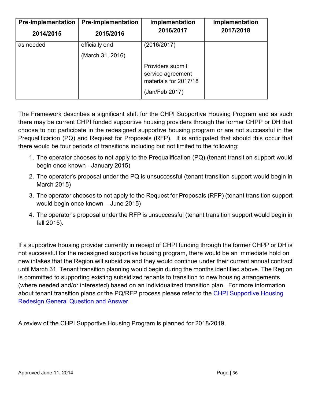| <b>Pre-Implementation</b> | <b>Pre-Implementation</b> | Implementation                                                                   | Implementation |
|---------------------------|---------------------------|----------------------------------------------------------------------------------|----------------|
| 2014/2015                 | 2015/2016                 | 2016/2017                                                                        | 2017/2018      |
| as needed                 | officially end            | (2016/2017)                                                                      |                |
|                           | (March 31, 2016)          |                                                                                  |                |
|                           |                           | Providers submit<br>service agreement<br>materials for 2017/18<br>(Jan/Feb 2017) |                |

The Framework describes a significant shift for the CHPI Supportive Housing Program and as such there may be current CHPI funded supportive housing providers through the former CHPP or DH that choose to not participate in the redesigned supportive housing program or are not successful in the Prequalification (PQ) and Request for Proposals (RFP). It is anticipated that should this occur that there would be four periods of transitions including but not limited to the following:

- 1. The operator chooses to not apply to the Prequalification (PQ) (tenant transition support would begin once known - January 2015)
- 2. The operator's proposal under the PQ is unsuccessful (tenant transition support would begin in March 2015)
- 3. The operator chooses to not apply to the Request for Proposals (RFP) (tenant transition support would begin once known – June 2015)
- 4. The operator's proposal under the RFP is unsuccessful (tenant transition support would begin in fall 2015).

If a supportive housing provider currently in receipt of CHPI funding through the former CHPP or DH is not successful for the redesigned supportive housing program, there would be an immediate hold on new intakes that the Region will subsidize and they would continue under their current annual contract until March 31. Tenant transition planning would begin during the months identified above. The Region is committed to supporting existing subsidized tenants to transition to new housing arrangements (where needed and/or interested) based on an individualized transition plan. For more information about tenant transition plans or the PQ/RFP process please refer to the [CHPI Supportive Housing](http://www.mah.gov.on.ca/AssetFactory.aspx?did=15972) [Redesign General Question and Answer.](http://www.mah.gov.on.ca/AssetFactory.aspx?did=15972) 

A review of the CHPI Supportive Housing Program is planned for 2018/2019.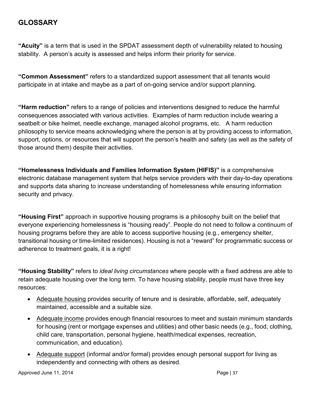## <span id="page-36-0"></span>**GLOSSARY**

**"Acuity"** is a term that is used in the SPDAT assessment depth of vulnerability related to housing stability. A person's acuity is assessed and helps inform their priority for service.

**"Common Assessment"** refers to a standardized support assessment that all tenants would participate in at intake and maybe as a part of on-going service and/or support planning.

**"Harm reduction"** refers to a range of policies and interventions designed to reduce the harmful consequences associated with various activities. Examples of harm reduction include wearing a seatbelt or bike helmet, needle exchange, managed alcohol programs, etc. A harm reduction philosophy to service means acknowledging where the person is at by providing access to information, support, options, or resources that will support the person's health and safety (as well as the safety of those around them) despite their activities.

**"Homelessness Individuals and Families Information System (HIFIS)"** is a comprehensive electronic database management system that helps service providers with their day-to-day operations and supports data sharing to increase understanding of homelessness while ensuring information security and privacy.

**"Housing First"** approach in supportive housing programs is a philosophy built on the belief that everyone experiencing homelessness is "housing ready". People do not need to follow a continuum of housing programs before they are able to access supportive housing (e.g., emergency shelter, transitional housing or time-limited residences). Housing is not a "reward" for programmatic success or adherence to treatment goals, it is a right!

**"Housing Stability"** refers to *ideal living circumstances* where people with a fixed address are able to retain adequate housing over the long term. To have housing stability, people must have three key resources:

- Adequate housing provides security of tenure and is desirable, affordable, self, adequately maintained, accessible and a suitable size.
- Adequate income provides enough financial resources to meet and sustain minimum standards for housing (rent or mortgage expenses and utilities) and other basic needs (e.g., food, clothing, child care, transportation, personal hygiene, health/medical expenses, recreation, communication, and education).
- Adequate support (informal and/or formal) provides enough personal support for living as independently and connecting with others as desired.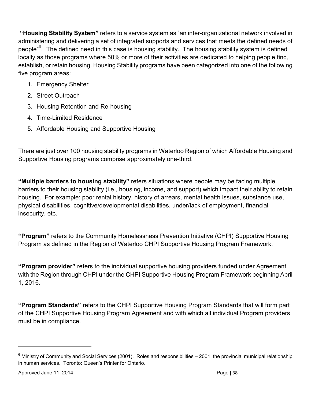**"Housing Stability System"** refers to a service system as "an inter-organizational network involved in administering and delivering a set of integrated supports and services that meets the defined needs of people"<sup>[6](#page-37-0)</sup>. The defined need in this case is housing stability. The housing stability system is defined locally as those programs where 50% or more of their activities are dedicated to helping people find, establish, or retain housing. Housing Stability programs have been categorized into one of the following five program areas:

- 1. Emergency Shelter
- 2. Street Outreach
- 3. Housing Retention and Re-housing
- 4. Time-Limited Residence
- 5. Affordable Housing and Supportive Housing

There are just over 100 housing stability programs in Waterloo Region of which Affordable Housing and Supportive Housing programs comprise approximately one-third.

**"Multiple barriers to housing stability"** refers situations where people may be facing multiple barriers to their housing stability (i.e., housing, income, and support) which impact their ability to retain housing. For example: poor rental history, history of arrears, mental health issues, substance use, physical disabilities, cognitive/developmental disabilities, under/lack of employment, financial insecurity, etc.

**"Program"** refers to the Community Homelessness Prevention Initiative (CHPI) Supportive Housing Program as defined in the Region of Waterloo CHPI Supportive Housing Program Framework.

**"Program provider"** refers to the individual supportive housing providers funded under Agreement with the Region through CHPI under the CHPI Supportive Housing Program Framework beginning April 1, 2016.

**"Program Standards"** refers to the CHPI Supportive Housing Program Standards that will form part of the CHPI Supportive Housing Program Agreement and with which all individual Program providers must be in compliance.

<span id="page-37-0"></span> $6$  Ministry of Community and Social Services (2001). Roles and responsibilities  $-$  2001: the provincial municipal relationship in human services. Toronto: Queen's Printer for Ontario.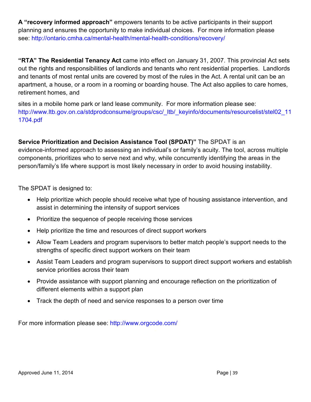<span id="page-38-0"></span>**A "recovery informed approach"** empowers tenants to be active participants in their support planning and ensures the opportunity to make individual choices. For more information please [see: http://ontario.cmha.ca/mental-health/mental-health-conditions/recov](http://ontario.cmha.ca/mental-health/mental-health-conditions/recovery/)ery/

**"RTA" The Residential Tenancy Act** came into effect on January 31, 2007. This provincial Act sets out the rights and responsibilities of landlords and tenants who rent residential properties. Landlords and tenants of most rental units are covered by most of the rules in the Act. A rental unit can be an apartment, a house, or a room in a rooming or boarding house. The Act also applies to care homes, retirement homes, and

sites in a mobile home park or land lease community. For more information please see: http://www.ltb.gov.on.ca/stdprodconsume/groups/csc/\_ltb/\_keyinfo/documents/resourcelist/stel02\_11 [1704.pdf](http://www.ltb.gov.on.ca/stdprodconsume/groups/csc/_ltb/_keyinfo/documents/resourcelist/stel02_111704.pdf)

**Service Prioritization and Decision Assistance Tool (SPDAT)"** The SPDAT is an evidence-informed approach to assessing an individual's or family's acuity. The tool, across multiple components, prioritizes who to serve next and why, while concurrently identifying the areas in the person/family's life where support is most likely necessary in order to avoid housing instability.

The SPDAT is designed to:

- Help prioritize which people should receive what type of housing assistance intervention, and assist in determining the intensity of support services
- Prioritize the sequence of people receiving those services
- Help prioritize the time and resources of direct support workers
- Allow Team Leaders and program supervisors to better match people's support needs to the strengths of specific direct support workers on their team
- Assist Team Leaders and program supervisors to support direct support workers and establish service priorities across their team
- Provide assistance with support planning and encourage reflection on the prioritization of different elements within a support plan
- Track the depth of need and service responses to a person over time

For more information please see: <http://www.orgcode.com/>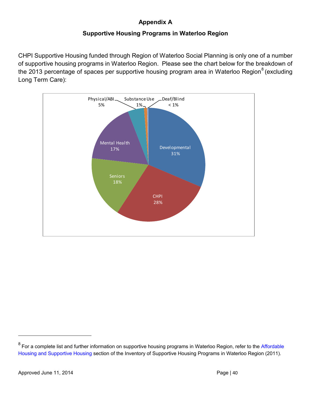### **Appendix [A](#page-38-0)**

#### **Supportive Housing Programs in Waterloo Region**

<span id="page-39-0"></span>CHPI Supportive Housing funded through Region of Waterloo Social Planning is only one of a number of supportive housing programs in Waterloo Region. Please see the chart below for the breakdown of the 2013 percentage of spaces per supportive housing program area in Waterloo Region<sup>[8](#page-39-1)</sup> (excluding Long Term Care):



<span id="page-39-1"></span> $8$  For a complete list and further information on supportive housing programs in Waterloo Region, refer to the [Affordable](https://www.regionofwaterloo.ca/en/living-here/find-affordable-housing.aspx) [Housing and Supportive Housing s](https://www.regionofwaterloo.ca/en/living-here/find-affordable-housing.aspx)ection of the Inventory of Supportive Housing Programs in Waterloo Region (2011).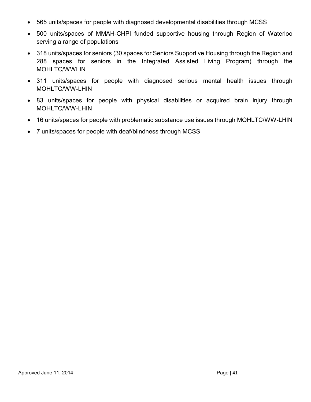- 565 units/spaces for people with diagnosed developmental disabilities through MCSS
- 500 units/spaces of MMAH-CHPI funded supportive housing through Region of Waterloo serving a range of populations
- 318 units/spaces for seniors (30 spaces for Seniors Supportive Housing through the Region and 288 spaces for seniors in the Integrated Assisted Living Program) through the MOHLTC/WWLIN
- 311 units/spaces for people with diagnosed serious mental health issues through MOHLTC/WW-LHIN
- 83 units/spaces for people with physical disabilities or acquired brain injury through MOHLTC/WW-LHIN
- 16 units/spaces for people with problematic substance use issues through MOHLTC/WW-LHIN
- 7 units/spaces for people with deaf/blindness through MCSS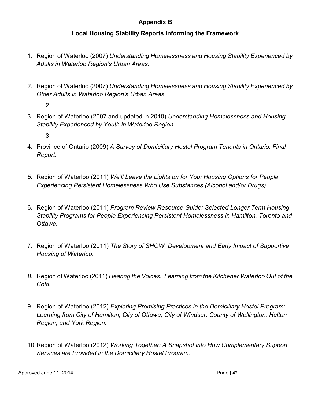#### **Appendix B**

#### **Local Housing Stability Reports Informing the Framework**

- 1. Region of Waterloo (2007) *Understanding Homelessness and Housing Stability Experienced by Adults in Waterloo Region's Urban Areas.*
- 2. Region of Waterloo (2007) *Understanding Homelessness and Housing Stability Experienced by Older Adults in Waterloo Region's Urban Areas.*

2.

3. Region of Waterloo (2007 and updated in 2010) *Understanding Homelessness and Housing Stability Experienced by Youth in Waterloo Region.*

3.

- 4. Province of Ontario (2009) *A Survey of Domiciliary Hostel Program Tenants in Ontario: Final Report.*
- *5.* Region of Waterloo (2011) *We'll Leave the Lights on for You: Housing Options for People Experiencing Persistent Homelessness Who Use Substances (Alcohol and/or Drugs).*
- 6. Region of Waterloo (2011) *Program Review Resource Guide: Selected Longer Term Housing Stability Programs for People Experiencing Persistent Homelessness in Hamilton, Toronto and Ottawa.*
- 7. Region of Waterloo (2011) *The Story of SHOW: Development and Early Impact of Supportive Housing of Waterloo*.
- *8.* Region of Waterloo (2011) *Hearing the Voices: Learning from the Kitchener Waterloo Out of the Cold.*
- 9. Region of Waterloo (2012) *Exploring Promising Practices in the Domiciliary Hostel Program: Learning from City of Hamilton, City of Ottawa, City of Windsor, County of Wellington, Halton Region, and York Region.*
- 10.Region of Waterloo (2012) *Working Together: A Snapshot into How Complementary Support Services are Provided in the Domiciliary Hostel Program.*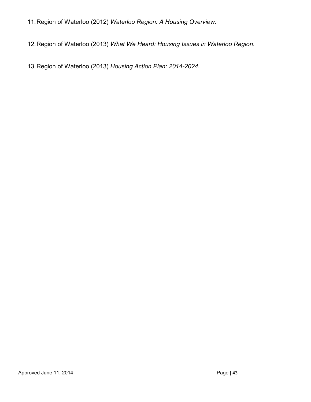- 11.Region of Waterloo (2012) *Waterloo Region: A Housing Overview.*
- 12.Region of Waterloo (2013) *What We Heard: Housing Issues in Waterloo Region.*

13.Region of Waterloo (2013) *Housing Action Plan: 2014-2024.*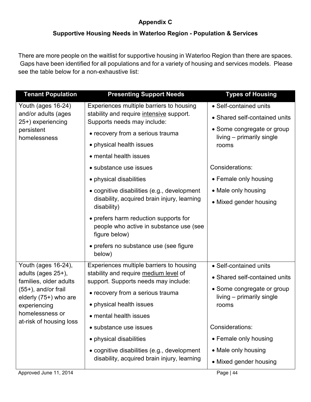## **Appendix C**

### **Supportive Housing Needs in Waterloo Region - Population & Services**

<span id="page-43-1"></span><span id="page-43-0"></span>There are more people on the waitlist for supportive housing in Waterloo Region than there are spaces. Gaps have been identified for all populations and for a variety of housing and services models. Please see the table below for a non-exhaustive list:

| <b>Tenant Population</b>                                               | <b>Presenting Support Needs</b>                                                                   | <b>Types of Housing</b>                                 |
|------------------------------------------------------------------------|---------------------------------------------------------------------------------------------------|---------------------------------------------------------|
| Youth (ages 16-24)                                                     | Experiences multiple barriers to housing                                                          | • Self-contained units                                  |
| and/or adults (ages<br>25+) experiencing<br>persistent<br>homelessness | stability and require intensive support.<br>Supports needs may include:                           | • Shared self-contained units                           |
|                                                                        | • recovery from a serious trauma                                                                  | • Some congregate or group<br>living – primarily single |
|                                                                        | • physical health issues                                                                          | rooms                                                   |
|                                                                        | • mental health issues                                                                            |                                                         |
|                                                                        | • substance use issues                                                                            | Considerations:                                         |
|                                                                        | • physical disabilities                                                                           | • Female only housing                                   |
|                                                                        | · cognitive disabilities (e.g., development                                                       | • Male only housing                                     |
|                                                                        | disability, acquired brain injury, learning<br>disability)                                        | • Mixed gender housing                                  |
|                                                                        | • prefers harm reduction supports for<br>people who active in substance use (see<br>figure below) |                                                         |
|                                                                        | • prefers no substance use (see figure<br>below)                                                  |                                                         |
| Youth (ages 16-24),                                                    | Experiences multiple barriers to housing                                                          | • Self-contained units                                  |
| adults (ages 25+),<br>families, older adults                           | stability and require medium level of<br>support. Supports needs may include:                     | • Shared self-contained units                           |
| $(55+)$ , and/or frail<br>elderly (75+) who are                        | • recovery from a serious trauma                                                                  | • Some congregate or group<br>living – primarily single |
| experiencing<br>homelessness or<br>at-risk of housing loss             | • physical health issues                                                                          | rooms                                                   |
|                                                                        | • mental health issues                                                                            |                                                         |
|                                                                        | • substance use issues                                                                            | Considerations:                                         |
|                                                                        | • physical disabilities                                                                           | • Female only housing                                   |
|                                                                        | • cognitive disabilities (e.g., development                                                       | • Male only housing                                     |
|                                                                        | disability, acquired brain injury, learning                                                       | • Mixed gender housing                                  |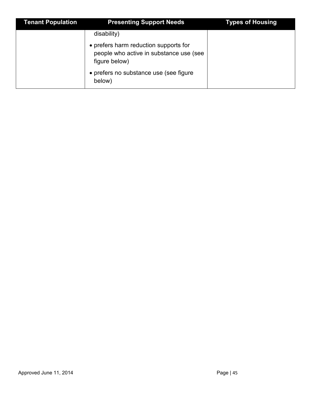| <b>Tenant Population</b> | <b>Presenting Support Needs</b>                                                                   | <b>Types of Housing</b> |
|--------------------------|---------------------------------------------------------------------------------------------------|-------------------------|
|                          | disability)                                                                                       |                         |
|                          | • prefers harm reduction supports for<br>people who active in substance use (see<br>figure below) |                         |
|                          | • prefers no substance use (see figure<br>below)                                                  |                         |